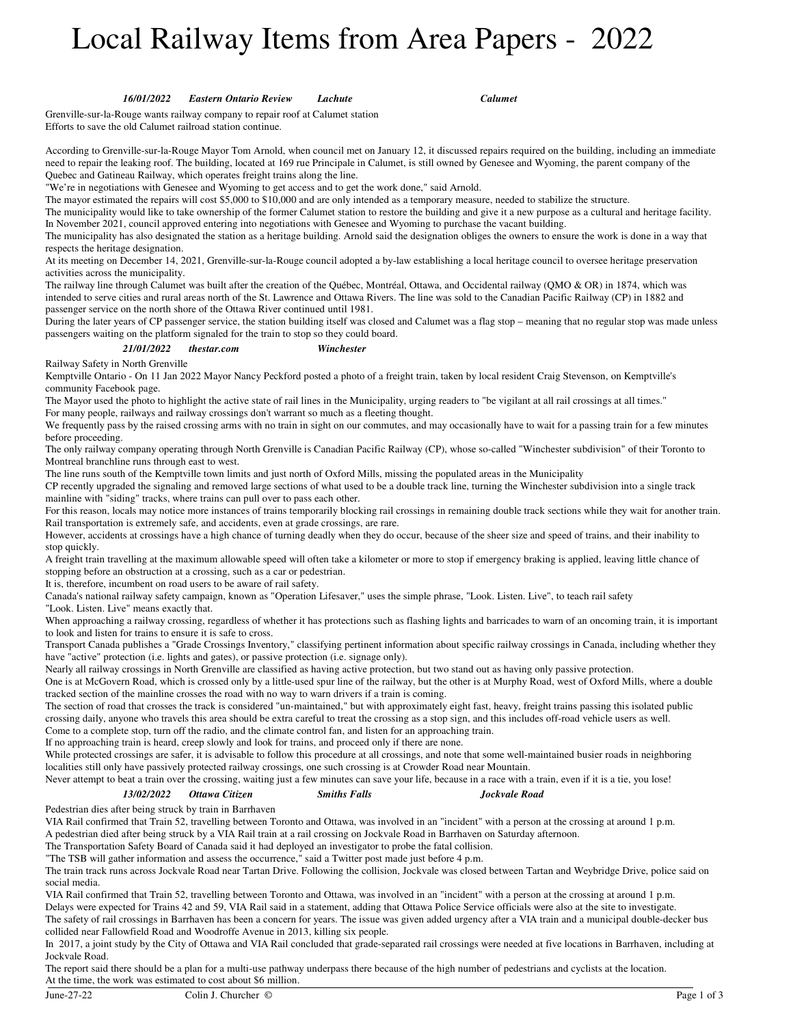# Local Railway Items from Area Papers - 2022

*16/01/2022 Eastern Ontario Review Lachute Calumet*

Grenville-sur-la-Rouge wants railway company to repair roof at Calumet station

Efforts to save the old Calumet railroad station continue.

According to Grenville-sur-la-Rouge Mayor Tom Arnold, when council met on January 12, it discussed repairs required on the building, including an immediate need to repair the leaking roof. The building, located at 169 rue Principale in Calumet, is still owned by Genesee and Wyoming, the parent company of the Quebec and Gatineau Railway, which operates freight trains along the line.

"We're in negotiations with Genesee and Wyoming to get access and to get the work done," said Arnold.

The mayor estimated the repairs will cost \$5,000 to \$10,000 and are only intended as a temporary measure, needed to stabilize the structure.

The municipality would like to take ownership of the former Calumet station to restore the building and give it a new purpose as a cultural and heritage facility. In November 2021, council approved entering into negotiations with Genesee and Wyoming to purchase the vacant building.

The municipality has also designated the station as a heritage building. Arnold said the designation obliges the owners to ensure the work is done in a way that respects the heritage designation.

At its meeting on December 14, 2021, Grenville-sur-la-Rouge council adopted a by-law establishing a local heritage council to oversee heritage preservation activities across the municipality.

The railway line through Calumet was built after the creation of the Québec, Montréal, Ottawa, and Occidental railway (QMO & OR) in 1874, which was intended to serve cities and rural areas north of the St. Lawrence and Ottawa Rivers. The line was sold to the Canadian Pacific Railway (CP) in 1882 and passenger service on the north shore of the Ottawa River continued until 1981.

During the later years of CP passenger service, the station building itself was closed and Calumet was a flag stop – meaning that no regular stop was made unless passengers waiting on the platform signaled for the train to stop so they could board.

#### *21/01/2022 thestar.com Winchester*

Railway Safety in North Grenville

Kemptville Ontario - On 11 Jan 2022 Mayor Nancy Peckford posted a photo of a freight train, taken by local resident Craig Stevenson, on Kemptville's community Facebook page.

The Mayor used the photo to highlight the active state of rail lines in the Municipality, urging readers to "be vigilant at all rail crossings at all times." For many people, railways and railway crossings don't warrant so much as a fleeting thought.

We frequently pass by the raised crossing arms with no train in sight on our commutes, and may occasionally have to wait for a passing train for a few minutes before proceeding.

The only railway company operating through North Grenville is Canadian Pacific Railway (CP), whose so-called "Winchester subdivision" of their Toronto to Montreal branchline runs through east to west.

The line runs south of the Kemptville town limits and just north of Oxford Mills, missing the populated areas in the Municipality

CP recently upgraded the signaling and removed large sections of what used to be a double track line, turning the Winchester subdivision into a single track mainline with "siding" tracks, where trains can pull over to pass each other.

For this reason, locals may notice more instances of trains temporarily blocking rail crossings in remaining double track sections while they wait for another train. Rail transportation is extremely safe, and accidents, even at grade crossings, are rare.

However, accidents at crossings have a high chance of turning deadly when they do occur, because of the sheer size and speed of trains, and their inability to stop quickly.

A freight train travelling at the maximum allowable speed will often take a kilometer or more to stop if emergency braking is applied, leaving little chance of stopping before an obstruction at a crossing, such as a car or pedestrian.

It is, therefore, incumbent on road users to be aware of rail safety.

Canada's national railway safety campaign, known as "Operation Lifesaver," uses the simple phrase, "Look. Listen. Live", to teach rail safety "Look. Listen. Live" means exactly that.

When approaching a railway crossing, regardless of whether it has protections such as flashing lights and barricades to warn of an oncoming train, it is important to look and listen for trains to ensure it is safe to cross.

Transport Canada publishes a "Grade Crossings Inventory," classifying pertinent information about specific railway crossings in Canada, including whether they have "active" protection (i.e. lights and gates), or passive protection (i.e. signage only).

Nearly all railway crossings in North Grenville are classified as having active protection, but two stand out as having only passive protection.

One is at McGovern Road, which is crossed only by a little-used spur line of the railway, but the other is at Murphy Road, west of Oxford Mills, where a double tracked section of the mainline crosses the road with no way to warn drivers if a train is coming.

The section of road that crosses the track is considered "un-maintained," but with approximately eight fast, heavy, freight trains passing this isolated public crossing daily, anyone who travels this area should be extra careful to treat the crossing as a stop sign, and this includes off-road vehicle users as well. Come to a complete stop, turn off the radio, and the climate control fan, and listen for an approaching train.

If no approaching train is heard, creep slowly and look for trains, and proceed only if there are none.

While protected crossings are safer, it is advisable to follow this procedure at all crossings, and note that some well-maintained busier roads in neighboring localities still only have passively protected railway crossings, one such crossing is at Crowder Road near Mountain.

*Smiths Falls Jockvale Road*

Never attempt to beat a train over the crossing, waiting just a few minutes can save your life, because in a race with a train, even if it is a tie, you lose!

## *13/02/2022 Ottawa Citizen*

Pedestrian dies after being struck by train in Barrhaven

VIA Rail confirmed that Train 52, travelling between Toronto and Ottawa, was involved in an "incident" with a person at the crossing at around 1 p.m. A pedestrian died after being struck by a VIA Rail train at a rail crossing on Jockvale Road in Barrhaven on Saturday afternoon.

The Transportation Safety Board of Canada said it had deployed an investigator to probe the fatal collision.

"The TSB will gather information and assess the occurrence," said a Twitter post made just before 4 p.m.

The train track runs across Jockvale Road near Tartan Drive. Following the collision, Jockvale was closed between Tartan and Weybridge Drive, police said on social media.

VIA Rail confirmed that Train 52, travelling between Toronto and Ottawa, was involved in an "incident" with a person at the crossing at around 1 p.m. Delays were expected for Trains 42 and 59, VIA Rail said in a statement, adding that Ottawa Police Service officials were also at the site to investigate.

The safety of rail crossings in Barrhaven has been a concern for years. The issue was given added urgency after a VIA train and a municipal double-decker bus collided near Fallowfield Road and Woodroffe Avenue in 2013, killing six people.

In 2017, a joint study by the City of Ottawa and VIA Rail concluded that grade-separated rail crossings were needed at five locations in Barrhaven, including at Jockvale Road.

The report said there should be a plan for a multi-use pathway underpass there because of the high number of pedestrians and cyclists at the location. At the time, the work was estimated to cost about \$6 million.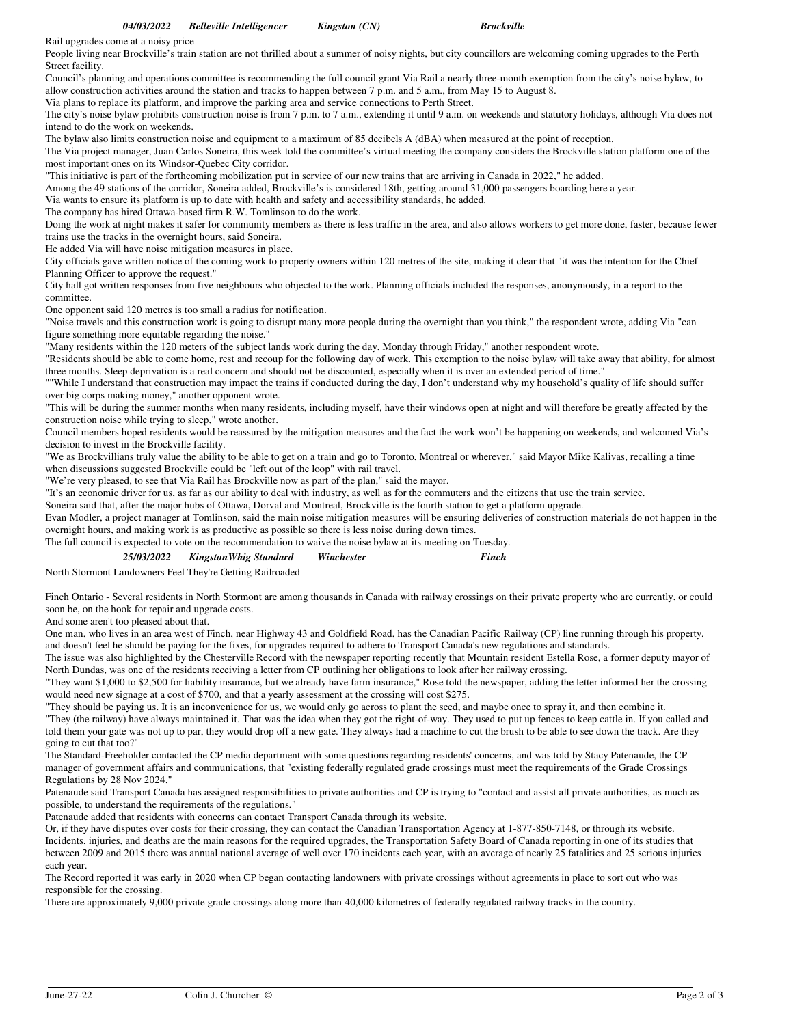Rail upgrades come at a noisy price

People living near Brockville's train station are not thrilled about a summer of noisy nights, but city councillors are welcoming coming upgrades to the Perth Street facility.

Council's planning and operations committee is recommending the full council grant Via Rail a nearly three-month exemption from the city's noise bylaw, to allow construction activities around the station and tracks to happen between 7 p.m. and 5 a.m., from May 15 to August 8.

Via plans to replace its platform, and improve the parking area and service connections to Perth Street.

The city's noise bylaw prohibits construction noise is from 7 p.m. to 7 a.m., extending it until 9 a.m. on weekends and statutory holidays, although Via does not intend to do the work on weekends.

The bylaw also limits construction noise and equipment to a maximum of 85 decibels A (dBA) when measured at the point of reception.

The Via project manager, Juan Carlos Soneira, this week told the committee's virtual meeting the company considers the Brockville station platform one of the most important ones on its Windsor-Quebec City corridor.

"This initiative is part of the forthcoming mobilization put in service of our new trains that are arriving in Canada in 2022," he added.

Among the 49 stations of the corridor, Soneira added, Brockville's is considered 18th, getting around 31,000 passengers boarding here a year.

Via wants to ensure its platform is up to date with health and safety and accessibility standards, he added.

The company has hired Ottawa-based firm R.W. Tomlinson to do the work.

Doing the work at night makes it safer for community members as there is less traffic in the area, and also allows workers to get more done, faster, because fewer trains use the tracks in the overnight hours, said Soneira.

He added Via will have noise mitigation measures in place.

City officials gave written notice of the coming work to property owners within 120 metres of the site, making it clear that "it was the intention for the Chief Planning Officer to approve the request."

City hall got written responses from five neighbours who objected to the work. Planning officials included the responses, anonymously, in a report to the committee.

One opponent said 120 metres is too small a radius for notification.

"Noise travels and this construction work is going to disrupt many more people during the overnight than you think," the respondent wrote, adding Via "can figure something more equitable regarding the noise."

"Many residents within the 120 meters of the subject lands work during the day, Monday through Friday," another respondent wrote.

"Residents should be able to come home, rest and recoup for the following day of work. This exemption to the noise bylaw will take away that ability, for almost three months. Sleep deprivation is a real concern and should not be discounted, especially when it is over an extended period of time."

""While I understand that construction may impact the trains if conducted during the day, I don't understand why my household's quality of life should suffer over big corps making money," another opponent wrote.

"This will be during the summer months when many residents, including myself, have their windows open at night and will therefore be greatly affected by the construction noise while trying to sleep," wrote another.

Council members hoped residents would be reassured by the mitigation measures and the fact the work won't be happening on weekends, and welcomed Via's decision to invest in the Brockville facility.

"We as Brockvillians truly value the ability to be able to get on a train and go to Toronto, Montreal or wherever," said Mayor Mike Kalivas, recalling a time when discussions suggested Brockville could be "left out of the loop" with rail travel.

"We're very pleased, to see that Via Rail has Brockville now as part of the plan," said the mayor.

"It's an economic driver for us, as far as our ability to deal with industry, as well as for the commuters and the citizens that use the train service.

Soneira said that, after the major hubs of Ottawa, Dorval and Montreal, Brockville is the fourth station to get a platform upgrade.

Evan Modler, a project manager at Tomlinson, said the main noise mitigation measures will be ensuring deliveries of construction materials do not happen in the overnight hours, and making work is as productive as possible so there is less noise during down times.

The full council is expected to vote on the recommendation to waive the noise bylaw at its meeting on Tuesday.

| 25/03/2022 | Kingston Whig Standard | Winchester | Finch |
|------------|------------------------|------------|-------|
|------------|------------------------|------------|-------|

North Stormont Landowners Feel They're Getting Railroaded

Finch Ontario - Several residents in North Stormont are among thousands in Canada with railway crossings on their private property who are currently, or could soon be, on the hook for repair and upgrade costs.

And some aren't too pleased about that.

One man, who lives in an area west of Finch, near Highway 43 and Goldfield Road, has the Canadian Pacific Railway (CP) line running through his property, and doesn't feel he should be paying for the fixes, for upgrades required to adhere to Transport Canada's new regulations and standards.

The issue was also highlighted by the Chesterville Record with the newspaper reporting recently that Mountain resident Estella Rose, a former deputy mayor of North Dundas, was one of the residents receiving a letter from CP outlining her obligations to look after her railway crossing.

"They want \$1,000 to \$2,500 for liability insurance, but we already have farm insurance," Rose told the newspaper, adding the letter informed her the crossing would need new signage at a cost of \$700, and that a yearly assessment at the crossing will cost \$275.

"They should be paying us. It is an inconvenience for us, we would only go across to plant the seed, and maybe once to spray it, and then combine it.

"They (the railway) have always maintained it. That was the idea when they got the right-of-way. They used to put up fences to keep cattle in. If you called and told them your gate was not up to par, they would drop off a new gate. They always had a machine to cut the brush to be able to see down the track. Are they going to cut that too?"

The Standard-Freeholder contacted the CP media department with some questions regarding residents' concerns, and was told by Stacy Patenaude, the CP manager of government affairs and communications, that "existing federally regulated grade crossings must meet the requirements of the Grade Crossings Regulations by 28 Nov 2024."

Patenaude said Transport Canada has assigned responsibilities to private authorities and CP is trying to "contact and assist all private authorities, as much as possible, to understand the requirements of the regulations."

Patenaude added that residents with concerns can contact Transport Canada through its website.

Or, if they have disputes over costs for their crossing, they can contact the Canadian Transportation Agency at 1-877-850-7148, or through its website. Incidents, injuries, and deaths are the main reasons for the required upgrades, the Transportation Safety Board of Canada reporting in one of its studies that between 2009 and 2015 there was annual national average of well over 170 incidents each year, with an average of nearly 25 fatalities and 25 serious injuries each year.

The Record reported it was early in 2020 when CP began contacting landowners with private crossings without agreements in place to sort out who was responsible for the crossing.

There are approximately 9,000 private grade crossings along more than 40,000 kilometres of federally regulated railway tracks in the country.